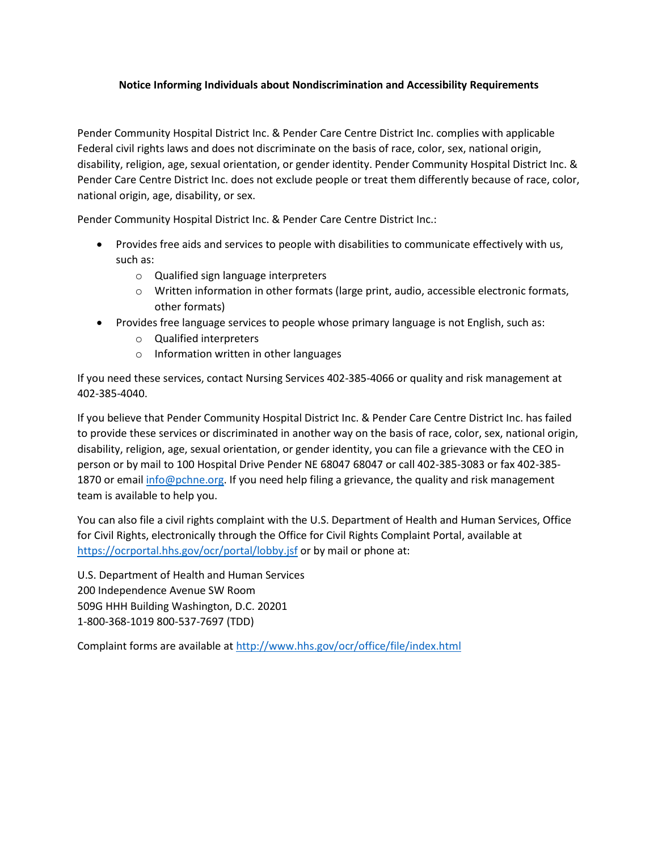## **Notice Informing Individuals about Nondiscrimination and Accessibility Requirements**

Pender Community Hospital District Inc. & Pender Care Centre District Inc. complies with applicable Federal civil rights laws and does not discriminate on the basis of race, color, sex, national origin, disability, religion, age, sexual orientation, or gender identity. Pender Community Hospital District Inc. & Pender Care Centre District Inc. does not exclude people or treat them differently because of race, color, national origin, age, disability, or sex.

Pender Community Hospital District Inc. & Pender Care Centre District Inc.:

- Provides free aids and services to people with disabilities to communicate effectively with us, such as:
	- o Qualified sign language interpreters
	- o Written information in other formats (large print, audio, accessible electronic formats, other formats)
- Provides free language services to people whose primary language is not English, such as:
	- o Qualified interpreters
	- o Information written in other languages

If you need these services, contact Nursing Services 402-385-4066 or quality and risk management at 402-385-4040.

If you believe that Pender Community Hospital District Inc. & Pender Care Centre District Inc. has failed to provide these services or discriminated in another way on the basis of race, color, sex, national origin, disability, religion, age, sexual orientation, or gender identity, you can file a grievance with the CEO in person or by mail to 100 Hospital Drive Pender NE 68047 68047 or call 402-385-3083 or fax 402-385 1870 or email [info@pchne.org.](mailto:info@pchne.org) If you need help filing a grievance, the quality and risk management team is available to help you.

You can also file a civil rights complaint with the U.S. Department of Health and Human Services, Office for Civil Rights, electronically through the Office for Civil Rights Complaint Portal, available at <https://ocrportal.hhs.gov/ocr/portal/lobby.jsf> or by mail or phone at:

U.S. Department of Health and Human Services 200 Independence Avenue SW Room 509G HHH Building Washington, D.C. 20201 1-800-368-1019 800-537-7697 (TDD)

Complaint forms are available a[t http://www.hhs.gov/ocr/office/file/index.html](http://www.hhs.gov/ocr/office/file/index.html)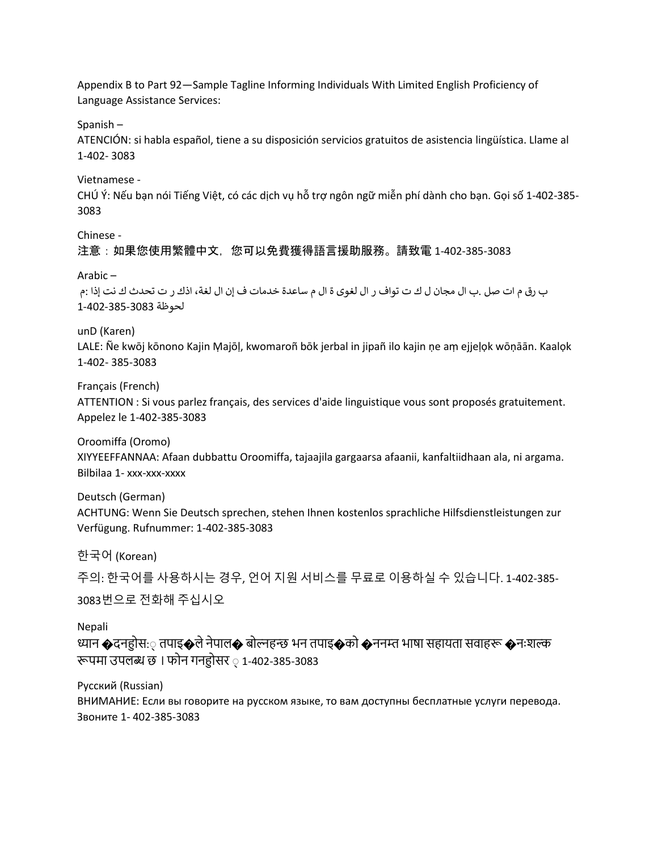Appendix B to Part 92—Sample Tagline Informing Individuals With Limited English Proficiency of Language Assistance Services:

Spanish –

ATENCIÓN: si habla español, tiene a su disposición servicios gratuitos de asistencia lingüística. Llame al 1-402- 3083

Vietnamese -

CHÚ Ý: Nếu bạn nói Tiếng Việt, có các dịch vụ hỗ trợ ngôn ngữ miễn phí dành cho bạn. Gọi số 1-402-385- 3083

Chinese -

注意:如果您使用繁體中文,您可以免費獲得語言援助服務。請致電 1-402-385-3083

## Arabic –

ب رق م ات صل .ب ال مجان ل ك ت تواف ر ال لغوی ة ال م ساعدة خدمات ف إن ال لغة، اذك ر ت تحدث ك نت إذا :م لحوظة 1-402-385-3083

unD (Karen)

LALE: Ñe kwōj kōnono Kajin Ṃajōḷ, kwomaroñ bōk jerbal in jipañ ilo kajin ṇe aṃ ejjeḷọk wōṇāān. Kaalọk 1-402- 385-3083

Français (French)

ATTENTION : Si vous parlez français, des services d'aide linguistique vous sont proposés gratuitement. Appelez le 1-402-385-3083

Oroomiffa (Oromo)

XIYYEEFFANNAA: Afaan dubbattu Oroomiffa, tajaajila gargaarsa afaanii, kanfaltiidhaan ala, ni argama. Bilbilaa 1- xxx-xxx-xxxx

Deutsch (German) ACHTUNG: Wenn Sie Deutsch sprechen, stehen Ihnen kostenlos sprachliche Hilfsdienstleistungen zur Verfügung. Rufnummer: 1-402-385-3083

한국어 (Korean)

주의: 한국어를 사용하시는 경우, 언어 지원 서비스를 무료로 이용하실 수 있습니다. 1-402-385- 3083번으로 전화해 주십시오

Nepali

ध्यान �दनह़ोस:़ तपाइ�ले नेपाल� बोल्नहन्छ भन तपाइ�को �ननम्त भाषा सहायता सवाहरू �नःशल्क रूपमा उपलब्ध छ । फोन गनह़ोसर ़ 1-402-385-3083

Русский (Russian) ВНИМАНИЕ: Если вы говорите на русском языке, то вам доступны бесплатные услуги перевода. Звоните 1- 402-385-3083